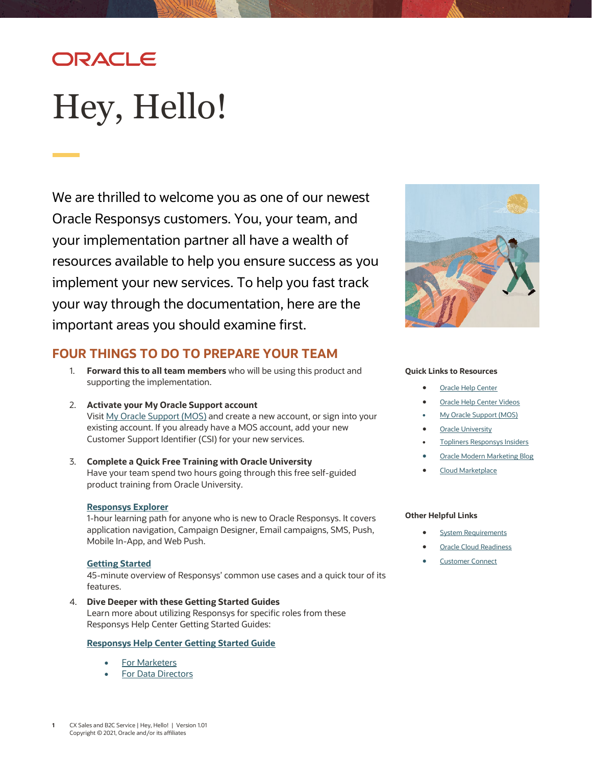## ORACLE

# <span id="page-0-0"></span>Hey, Hello!

We are thrilled to welcome you as one of our newest Oracle Responsys customers. You, your team, and your implementation partner all have a wealth of resources available to help you ensure success as you implement your new services. To help you fast track your way through the documentation, here are the important areas you should examine first.



## **FOUR THINGS TO DO TO PREPARE YOUR TEAM**

- 1. **Forward this to all team members** who will be using this product and supporting the implementation.
- 2. **Activate your My Oracle Support account** Visit [My Oracle Support \(MOS\)](https://support.oracle.com/) and create a new account, or sign into your existing account. If you already have a MOS account, add your new Customer Support Identifier (CSI) for your new services.
- 3. **Complete a Quick Free Training with Oracle University** Have your team spend two hours going through this free self-guided product training from Oracle University.

## **[Responsys Explorer](https://learn.oracle.com/ols/learning-path/responsys-explorer/37002/79352)**

1-hour learning path for anyone who is new to Oracle Responsys. It covers application navigation, Campaign Designer, Email campaigns, SMS, Push, Mobile In-App, and Web Push.

## **[Getting Started](https://learn.oracle.com/ols/learning-path/getting-started-with-responsys/37002/60935)**

45-minute overview of Responsys' common use cases and a quick tour of its features.

4. **Dive Deeper with these Getting Started Guides**

Learn more about utilizing Responsys for specific roles from these Responsys Help Center Getting Started Guides:

## **[Responsys Help Center Getting Started Guide](https://docs.oracle.com/en/cloud/saas/marketing/responsys-user/Help/get_started.htm)**

- **[For Marketers](https://docs.oracle.com/en/cloud/saas/marketing/responsys-user/Help/CampaignsLP.htm)**
- [For Data Directors](https://docs.oracle.com/en/cloud/saas/marketing/responsys-user/Help/FilesFoldersLP.htm)

#### **Quick Links to Resources**

- **[Oracle Help Center](https://docs.oracle.com/en/cloud/saas/marketing/responsys.html)**
- [Oracle Help Center Videos](https://www.youtube.com/channel/UCZwotmMjrpd4I8DUaS5TVGA)
- **[My Oracle Support \(MOS\)](https://support.oracle.com/)**
- **[Oracle University](https://learn.oracle.com/ols/home/37002#filtersGroup1=&filtersGroup2=&filtersGroup3=&filtersGroup4=&filtersGroup5=&filtersGroup6=&filtersGroup7=&filtersSearch=)**
- [Topliners Responsys Insiders](https://community.oracle.com/topliners/group/1711-responsys-insiders)
- [Oracle Modern Marketing Blog](https://blogs.oracle.com/marketingcloud/)
- [Cloud Marketplace](https://cloudmarketplace.oracle.com/marketplace/product/marketing)

## **Other Helpful Links**

- **[System Requirements](https://docs.oracle.com/en/cloud/saas/marketing/responsys-user/Overview_SystemRequirements.htm)**
- **[Oracle Cloud Readiness](https://www.oracle.com/webfolder/technetwork/tutorials/tutorial/readiness/offering.html?offering=marketing-responsys-20)**
- **[Customer Connect](https://community.oracle.com/customerconnect/)**